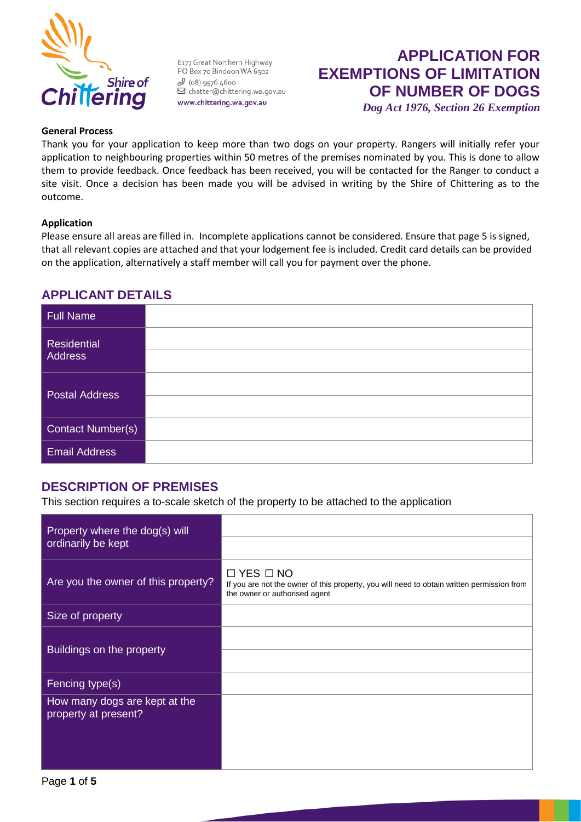

6177 Great Northern Highway PO Box 70 Bindoon WA 6502  $2(08)95764600$ ○ (00) 5370 4000 www.chittering.wa.gov.au

## **APPLICATION FOR EXEMPTIONS OF LIMITATION OF NUMBER OF DOGS** *Dog Act 1976, Section 26 Exemption*

#### **General Process**

Thank you for your application to keep more than two dogs on your property. Rangers will initially refer your application to neighbouring properties within 50 metres of the premises nominated by you. This is done to allow them to provide feedback. Once feedback has been received, you will be contacted for the Ranger to conduct a site visit. Once a decision has been made you will be advised in writing by the Shire of Chittering as to the outcome.

#### **Application**

Please ensure all areas are filled in. Incomplete applications cannot be considered. Ensure that page 5 is signed, that all relevant copies are attached and that your lodgement fee is included. Credit card details can be provided on the application, alternatively a staff member will call you for payment over the phone.

### **APPLICANT DETAILS**

| <b>Full Name</b>              |  |
|-------------------------------|--|
| Residential<br><b>Address</b> |  |
| <b>Postal Address</b>         |  |
| Contact Number(s)             |  |
| <b>Email Address</b>          |  |

### **DESCRIPTION OF PREMISES**

This section requires a to-scale sketch of the property to be attached to the application

| Property where the dog(s) will<br>ordinarily be kept  |                                                                                                                                                     |
|-------------------------------------------------------|-----------------------------------------------------------------------------------------------------------------------------------------------------|
| Are you the owner of this property?                   | $\Box$ YES $\Box$ NO<br>If you are not the owner of this property, you will need to obtain written permission from<br>the owner or authorised agent |
| Size of property                                      |                                                                                                                                                     |
| Buildings on the property                             |                                                                                                                                                     |
| Fencing type(s)                                       |                                                                                                                                                     |
| How many dogs are kept at the<br>property at present? |                                                                                                                                                     |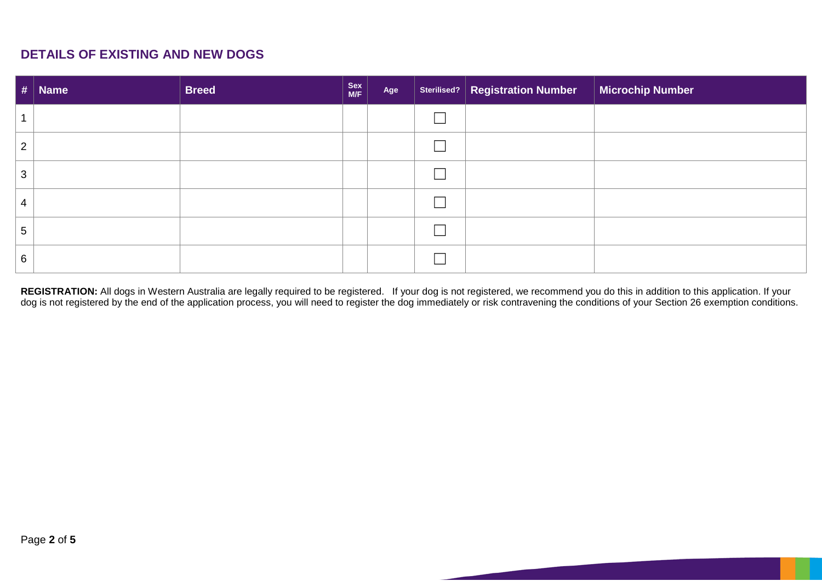## **DETAILS OF EXISTING AND NEW DOGS**

|                 | $\vert \# \vert$ Name | <b>Breed</b> | Sex<br>M/F | Age | Sterilised?   Registration Number | <b>Microchip Number</b> |
|-----------------|-----------------------|--------------|------------|-----|-----------------------------------|-------------------------|
|                 |                       |              |            |     |                                   |                         |
| $\overline{2}$  |                       |              |            |     |                                   |                         |
| 3               |                       |              |            |     |                                   |                         |
| $\overline{4}$  |                       |              |            |     |                                   |                         |
| $5\overline{)}$ |                       |              |            |     |                                   |                         |
| 6               |                       |              |            |     |                                   |                         |

**REGISTRATION:** All dogs in Western Australia are legally required to be registered. If your dog is not registered, we recommend you do this in addition to this application. If your dog is not registered by the end of the application process, you will need to register the dog immediately or risk contravening the conditions of your Section 26 exemption conditions.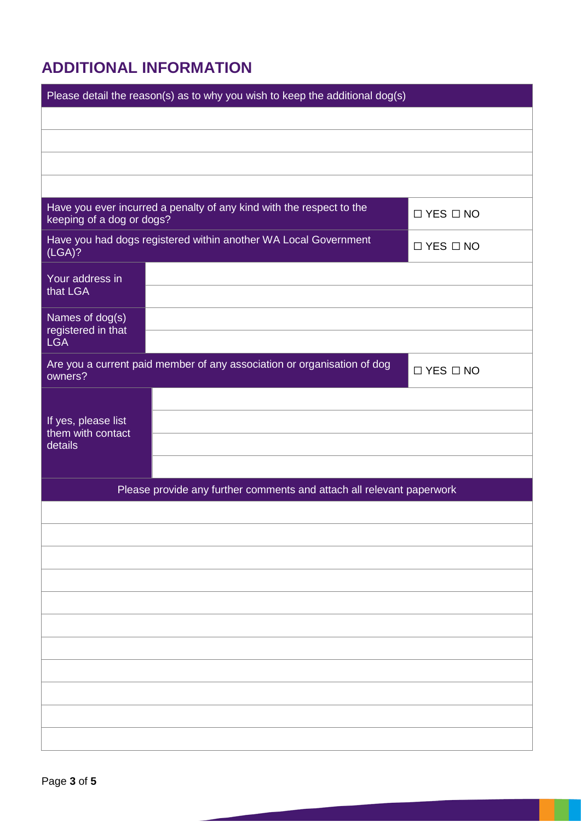# **ADDITIONAL INFORMATION**

| Please detail the reason(s) as to why you wish to keep the additional dog(s)                      |                      |  |  |
|---------------------------------------------------------------------------------------------------|----------------------|--|--|
|                                                                                                   |                      |  |  |
|                                                                                                   |                      |  |  |
|                                                                                                   |                      |  |  |
|                                                                                                   |                      |  |  |
| Have you ever incurred a penalty of any kind with the respect to the<br>keeping of a dog or dogs? | $\Box$ YES $\Box$ NO |  |  |
| Have you had dogs registered within another WA Local Government<br>(LGA)?                         | $\Box$ YES $\Box$ NO |  |  |
| Your address in<br>that LGA                                                                       |                      |  |  |
| Names of dog(s)<br>registered in that<br><b>LGA</b>                                               |                      |  |  |
| Are you a current paid member of any association or organisation of dog<br>owners?                | $\Box$ YES $\Box$ NO |  |  |
| If yes, please list<br>them with contact<br>details                                               |                      |  |  |
| Please provide any further comments and attach all relevant paperwork                             |                      |  |  |
|                                                                                                   |                      |  |  |
|                                                                                                   |                      |  |  |
|                                                                                                   |                      |  |  |
|                                                                                                   |                      |  |  |
|                                                                                                   |                      |  |  |
|                                                                                                   |                      |  |  |
|                                                                                                   |                      |  |  |
|                                                                                                   |                      |  |  |
|                                                                                                   |                      |  |  |
|                                                                                                   |                      |  |  |
|                                                                                                   |                      |  |  |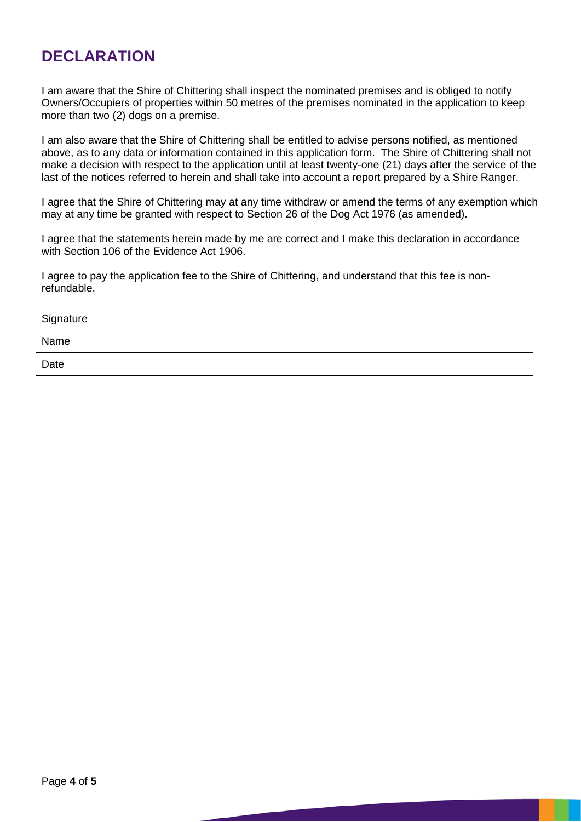# **DECLARATION**

I am aware that the Shire of Chittering shall inspect the nominated premises and is obliged to notify Owners/Occupiers of properties within 50 metres of the premises nominated in the application to keep more than two (2) dogs on a premise.

I am also aware that the Shire of Chittering shall be entitled to advise persons notified, as mentioned above, as to any data or information contained in this application form. The Shire of Chittering shall not make a decision with respect to the application until at least twenty-one (21) days after the service of the last of the notices referred to herein and shall take into account a report prepared by a Shire Ranger.

I agree that the Shire of Chittering may at any time withdraw or amend the terms of any exemption which may at any time be granted with respect to Section 26 of the Dog Act 1976 (as amended).

I agree that the statements herein made by me are correct and I make this declaration in accordance with Section 106 of the Evidence Act 1906.

I agree to pay the application fee to the Shire of Chittering, and understand that this fee is nonrefundable.

| Signature |  |
|-----------|--|
| Name      |  |
| Date      |  |